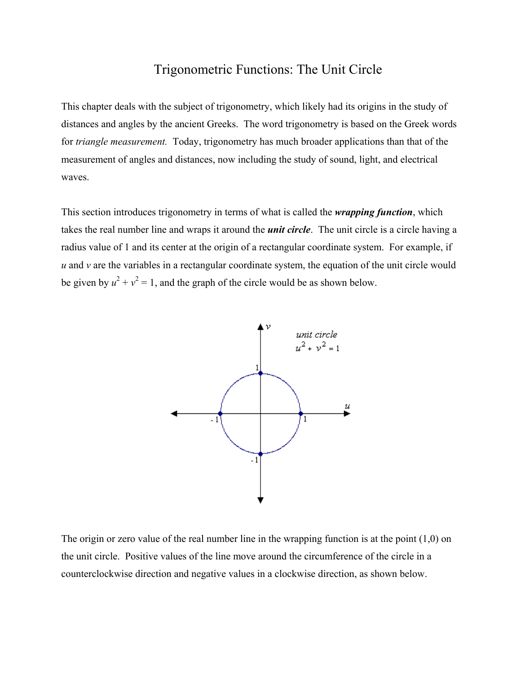## Trigonometric Functions: The Unit Circle

This chapter deals with the subject of trigonometry, which likely had its origins in the study of distances and angles by the ancient Greeks. The word trigonometry is based on the Greek words for *triangle measurement.* Today, trigonometry has much broader applications than that of the measurement of angles and distances, now including the study of sound, light, and electrical waves.

This section introduces trigonometry in terms of what is called the *wrapping function*, which takes the real number line and wraps it around the *unit circle*. The unit circle is a circle having a radius value of 1 and its center at the origin of a rectangular coordinate system. For example, if *u* and *v* are the variables in a rectangular coordinate system, the equation of the unit circle would be given by  $u^2 + v^2 = 1$ , and the graph of the circle would be as shown below.



The origin or zero value of the real number line in the wrapping function is at the point  $(1,0)$  on the unit circle. Positive values of the line move around the circumference of the circle in a counterclockwise direction and negative values in a clockwise direction, as shown below.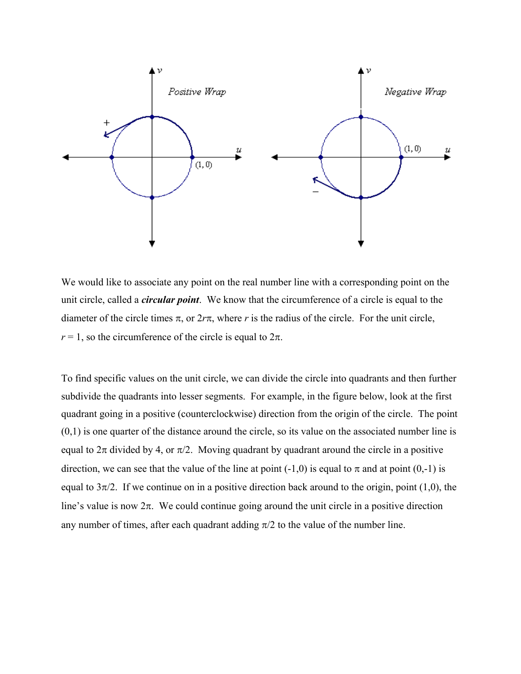

We would like to associate any point on the real number line with a corresponding point on the unit circle, called a *circular point*. We know that the circumference of a circle is equal to the diameter of the circle times  $\pi$ , or  $2r\pi$ , where *r* is the radius of the circle. For the unit circle,  $r = 1$ , so the circumference of the circle is equal to  $2\pi$ .

To find specific values on the unit circle, we can divide the circle into quadrants and then further subdivide the quadrants into lesser segments. For example, in the figure below, look at the first quadrant going in a positive (counterclockwise) direction from the origin of the circle. The point  $(0,1)$  is one quarter of the distance around the circle, so its value on the associated number line is equal to  $2\pi$  divided by 4, or  $\pi/2$ . Moving quadrant by quadrant around the circle in a positive direction, we can see that the value of the line at point (-1,0) is equal to  $\pi$  and at point (0,-1) is equal to  $3\pi/2$ . If we continue on in a positive direction back around to the origin, point (1,0), the line's value is now  $2\pi$ . We could continue going around the unit circle in a positive direction any number of times, after each quadrant adding  $\pi/2$  to the value of the number line.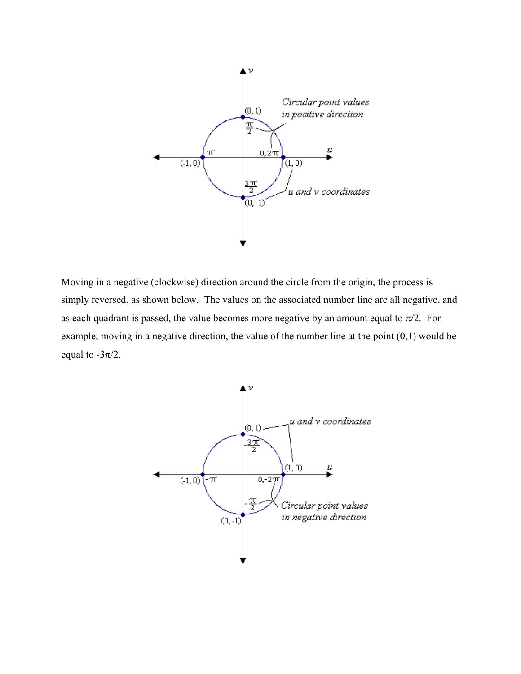

Moving in a negative (clockwise) direction around the circle from the origin, the process is simply reversed, as shown below. The values on the associated number line are all negative, and as each quadrant is passed, the value becomes more negative by an amount equal to  $\pi/2$ . For example, moving in a negative direction, the value of the number line at the point (0,1) would be equal to  $-3\pi/2$ .

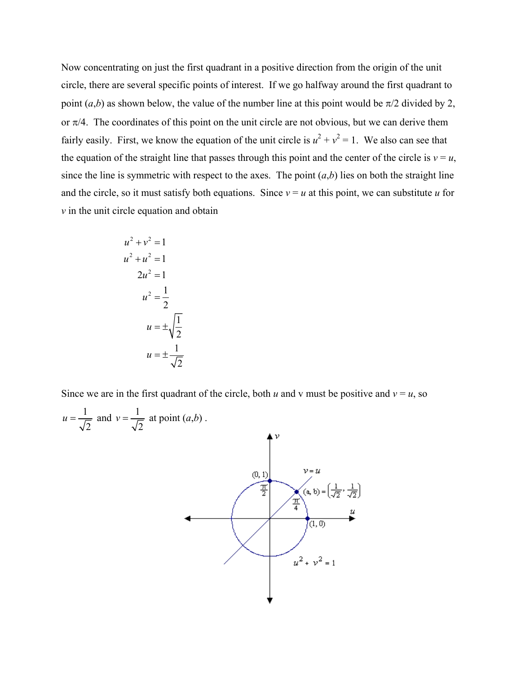Now concentrating on just the first quadrant in a positive direction from the origin of the unit circle, there are several specific points of interest. If we go halfway around the first quadrant to point  $(a,b)$  as shown below, the value of the number line at this point would be  $\pi/2$  divided by 2, or  $\pi/4$ . The coordinates of this point on the unit circle are not obvious, but we can derive them fairly easily. First, we know the equation of the unit circle is  $u^2 + v^2 = 1$ . We also can see that the equation of the straight line that passes through this point and the center of the circle is  $v = u$ , since the line is symmetric with respect to the axes. The point  $(a,b)$  lies on both the straight line and the circle, so it must satisfy both equations. Since  $v = u$  at this point, we can substitute *u* for *v* in the unit circle equation and obtain

$$
u2 + v2 = 1
$$
  
\n
$$
u2 + u2 = 1
$$
  
\n
$$
2u2 = 1
$$
  
\n
$$
u2 = \frac{1}{2}
$$
  
\n
$$
u = \pm \sqrt{\frac{1}{2}}
$$
  
\n
$$
u = \pm \frac{1}{\sqrt{2}}
$$

Since we are in the first quadrant of the circle, both *u* and *v* must be positive and  $v = u$ , so

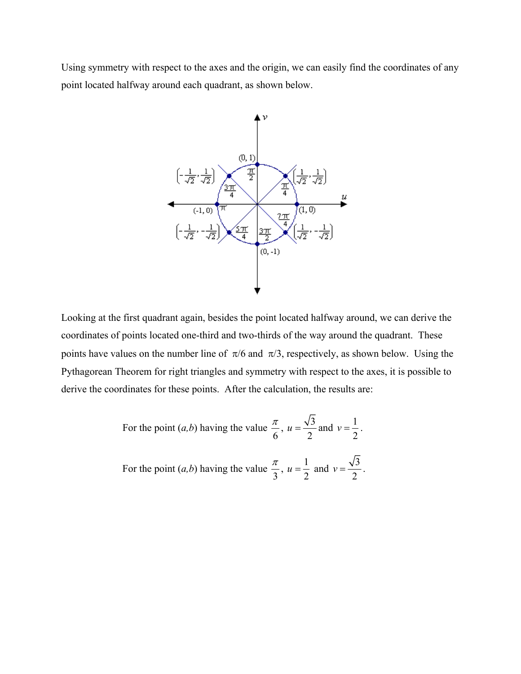Using symmetry with respect to the axes and the origin, we can easily find the coordinates of any point located halfway around each quadrant, as shown below.



Looking at the first quadrant again, besides the point located halfway around, we can derive the coordinates of points located one-third and two-thirds of the way around the quadrant. These points have values on the number line of  $\pi/6$  and  $\pi/3$ , respectively, as shown below. Using the Pythagorean Theorem for right triangles and symmetry with respect to the axes, it is possible to derive the coordinates for these points. After the calculation, the results are:

For the point 
$$
(a,b)
$$
 having the value  $\frac{\pi}{6}$ ,  $u = \frac{\sqrt{3}}{2}$  and  $v = \frac{1}{2}$ .  
For the point  $(a,b)$  having the value  $\frac{\pi}{3}$ ,  $u = \frac{1}{2}$  and  $v = \frac{\sqrt{3}}{2}$ .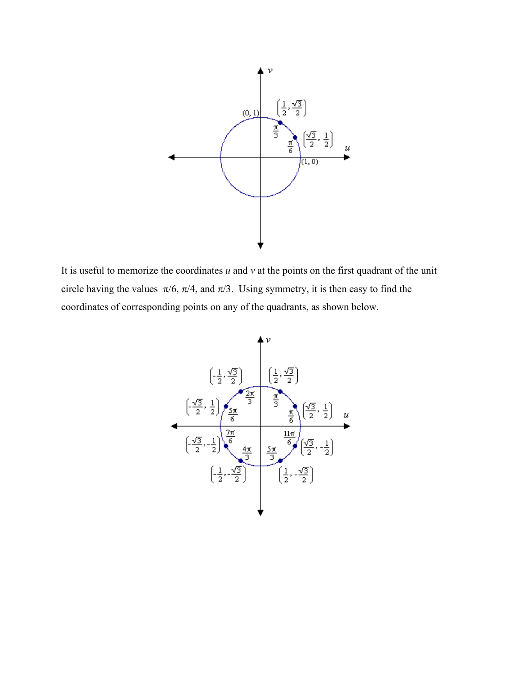

It is useful to memorize the coordinates  $u$  and  $v$  at the points on the first quadrant of the unit circle having the values  $\pi/6$ ,  $\pi/4$ , and  $\pi/3$ . Using symmetry, it is then easy to find the coordinates of corresponding points on any of the quadrants, as shown below.

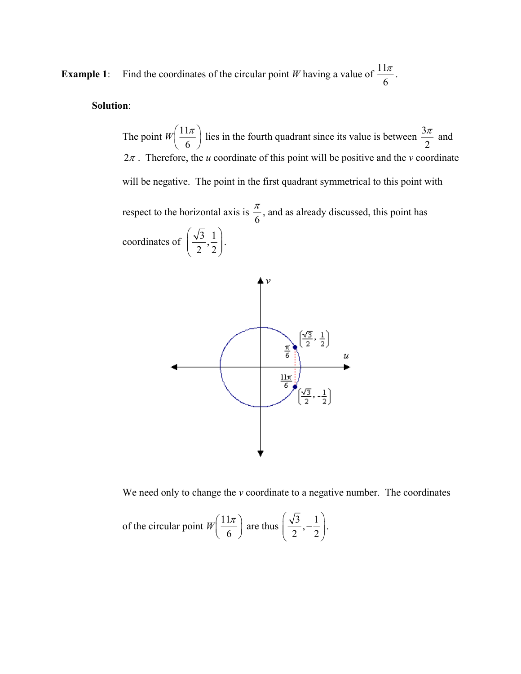**Example 1**: Find the coordinates of the circular point *W* having a value of  $\frac{11}{2}$ 6  $\frac{\pi}{\pi}$  .

## **Solution**:

The point  $W\left(\frac{11}{2}\right)$  $\left(\frac{11\pi}{6}\right)$ lies in the fourth quadrant since its value is between  $\frac{3\pi}{2}$  $\frac{\pi}{2}$  and  $2\pi$ . Therefore, the *u* coordinate of this point will be positive and the *v* coordinate will be negative. The point in the first quadrant symmetrical to this point with respect to the horizontal axis is  $\frac{\pi}{6}$ , and as already discussed, this point has coordinates of  $\left(\frac{\sqrt{3}}{2}, \frac{1}{2}\right)$  $(2 2)$ .



We need only to change the *v* coordinate to a negative number. The coordinates

of the circular point 
$$
W\left(\frac{11\pi}{6}\right)
$$
 are thus  $\left(\frac{\sqrt{3}}{2}, -\frac{1}{2}\right)$ .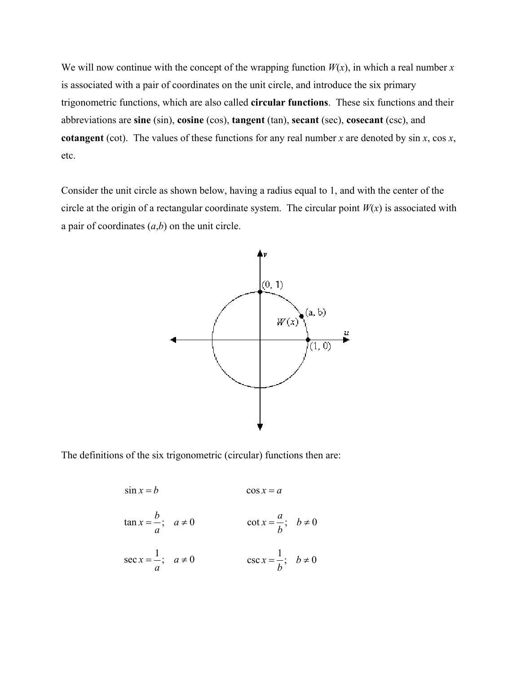We will now continue with the concept of the wrapping function  $W(x)$ , in which a real number *x* is associated with a pair of coordinates on the unit circle, and introduce the six primary trigonometric functions, which are also called **circular functions**. These six functions and their abbreviations are **sine** (sin), **cosine** (cos), **tangent** (tan), **secant** (sec), **cosecant** (csc), and **cotangent** (cot). The values of these functions for any real number *x* are denoted by sin *x*, cos *x*, etc.

Consider the unit circle as shown below, having a radius equal to 1, and with the center of the circle at the origin of a rectangular coordinate system. The circular point  $W(x)$  is associated with a pair of coordinates  $(a,b)$  on the unit circle.



The definitions of the six trigonometric (circular) functions then are:

$$
\sin x = b \qquad \cos x = a
$$
  
\n
$$
\tan x = \frac{b}{a}; \quad a \neq 0 \qquad \cot x = \frac{a}{b}; \quad b \neq 0
$$
  
\n
$$
\sec x = \frac{1}{a}; \quad a \neq 0 \qquad \qquad \csc x = \frac{1}{b}; \quad b \neq 0
$$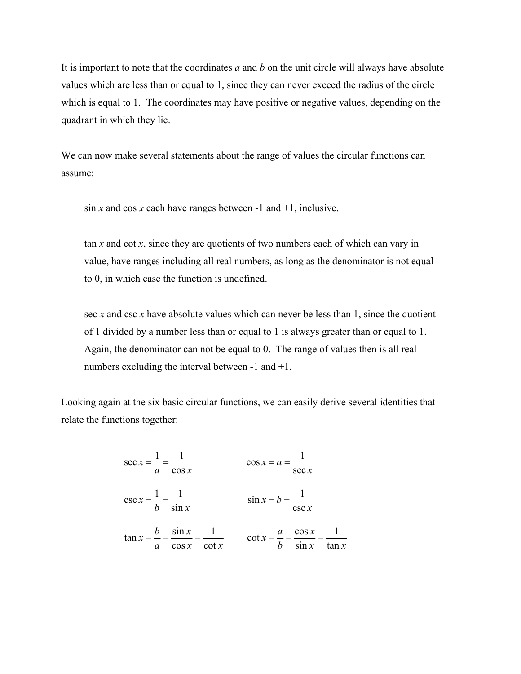It is important to note that the coordinates *a* and *b* on the unit circle will always have absolute values which are less than or equal to 1, since they can never exceed the radius of the circle which is equal to 1. The coordinates may have positive or negative values, depending on the quadrant in which they lie.

We can now make several statements about the range of values the circular functions can assume:

 $\sin x$  and  $\cos x$  each have ranges between -1 and +1, inclusive.

tan *x* and cot *x*, since they are quotients of two numbers each of which can vary in value, have ranges including all real numbers, as long as the denominator is not equal to 0, in which case the function is undefined.

sec *x* and csc *x* have absolute values which can never be less than 1, since the quotient of 1 divided by a number less than or equal to 1 is always greater than or equal to 1. Again, the denominator can not be equal to 0. The range of values then is all real numbers excluding the interval between -1 and +1.

Looking again at the six basic circular functions, we can easily derive several identities that relate the functions together:

$$
\sec x = \frac{1}{a} = \frac{1}{\cos x}
$$
\n
$$
\cos x = a = \frac{1}{\sec x}
$$
\n
$$
\csc x = \frac{1}{b} = \frac{1}{\sin x}
$$
\n
$$
\sin x = b = \frac{1}{\csc x}
$$
\n
$$
\tan x = \frac{b}{a} = \frac{\sin x}{\cos x} = \frac{1}{\cot x}
$$
\n
$$
\cot x = \frac{a}{b} = \frac{\cos x}{\sin x} = \frac{1}{\tan x}
$$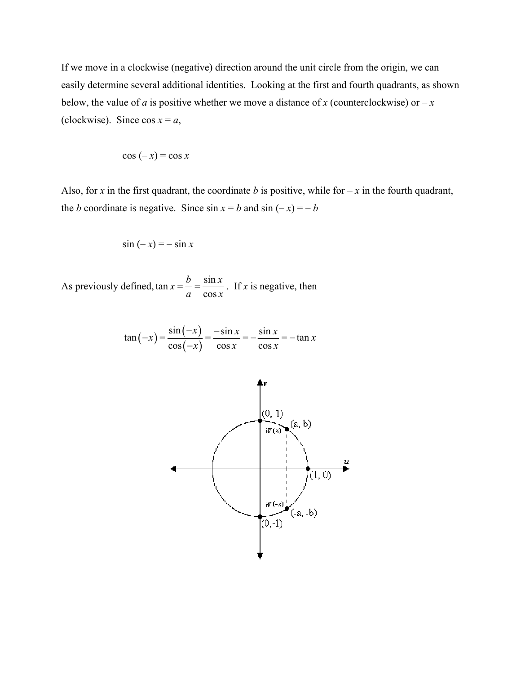If we move in a clockwise (negative) direction around the unit circle from the origin, we can easily determine several additional identities. Looking at the first and fourth quadrants, as shown below, the value of *a* is positive whether we move a distance of *x* (counterclockwise) or  $-x$ (clockwise). Since  $\cos x = a$ ,

$$
\cos(-x) = \cos x
$$

Also, for *x* in the first quadrant, the coordinate *b* is positive, while for  $-x$  in the fourth quadrant, the *b* coordinate is negative. Since  $\sin x = b$  and  $\sin (-x) = -b$ 

$$
\sin(-x) = -\sin x
$$

As previously defined,  $\tan x = \frac{b}{ } = \frac{\sin x}{ }$ cos  $x = \frac{b}{a} = \frac{\sin x}{\cos x}$ . If *x* is negative, then

$$
\tan\left(-x\right) = \frac{\sin\left(-x\right)}{\cos\left(-x\right)} = \frac{-\sin x}{\cos x} = -\frac{\sin x}{\cos x} = -\tan x
$$

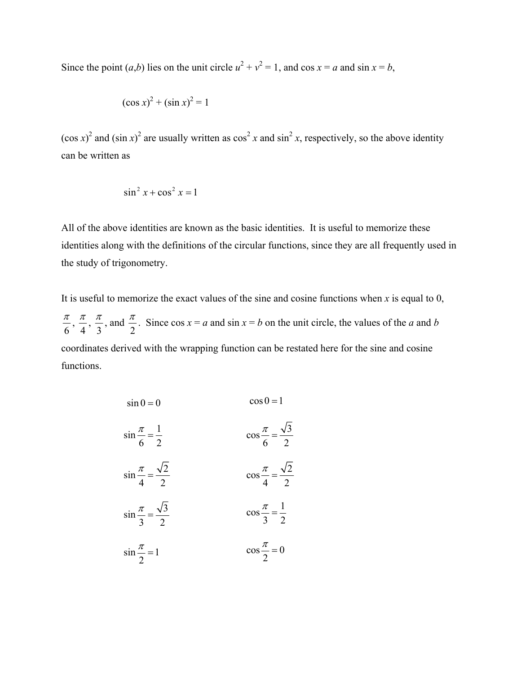Since the point  $(a,b)$  lies on the unit circle  $u^2 + v^2 = 1$ , and  $\cos x = a$  and  $\sin x = b$ ,

$$
(\cos x)^2 + (\sin x)^2 = 1
$$

 $(\cos x)^2$  and  $(\sin x)^2$  are usually written as  $\cos^2 x$  and  $\sin^2 x$ , respectively, so the above identity can be written as

$$
\sin^2 x + \cos^2 x = 1
$$

All of the above identities are known as the basic identities. It is useful to memorize these identities along with the definitions of the circular functions, since they are all frequently used in the study of trigonometry.

It is useful to memorize the exact values of the sine and cosine functions when  $x$  is equal to  $0$ ,  $\frac{\pi}{6}$ ,  $\frac{\pi}{4}$ ,  $\frac{\pi}{3}$ , and  $\frac{\pi}{2}$ . Since cos  $x = a$  and sin  $x = b$  on the unit circle, the values of the *a* and *b* coordinates derived with the wrapping function can be restated here for the sine and cosine functions.

| $\sin 0 = 0$                              | $\cos 0 = 1$                             |
|-------------------------------------------|------------------------------------------|
| $\sin\frac{\pi}{6} = \frac{1}{2}$         | $\cos\frac{\pi}{6} = \frac{\sqrt{3}}{2}$ |
| $\sin\frac{\pi}{4} = \frac{\sqrt{2}}{2}$  | $\cos\frac{\pi}{4} = \frac{\sqrt{2}}{2}$ |
| $\sin \frac{\pi}{3} = \frac{\sqrt{3}}{2}$ | $\cos\frac{\pi}{3} = \frac{1}{2}$        |
| $\sin \frac{\pi}{2} = 1$                  | $\cos\frac{\pi}{2} = 0$                  |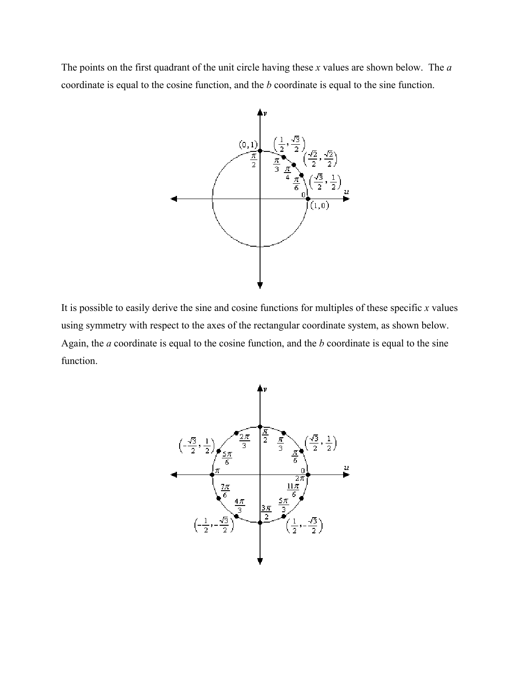The points on the first quadrant of the unit circle having these *x* values are shown below. The *a* coordinate is equal to the cosine function, and the *b* coordinate is equal to the sine function.



It is possible to easily derive the sine and cosine functions for multiples of these specific *x* values using symmetry with respect to the axes of the rectangular coordinate system, as shown below. Again, the *a* coordinate is equal to the cosine function, and the *b* coordinate is equal to the sine function.